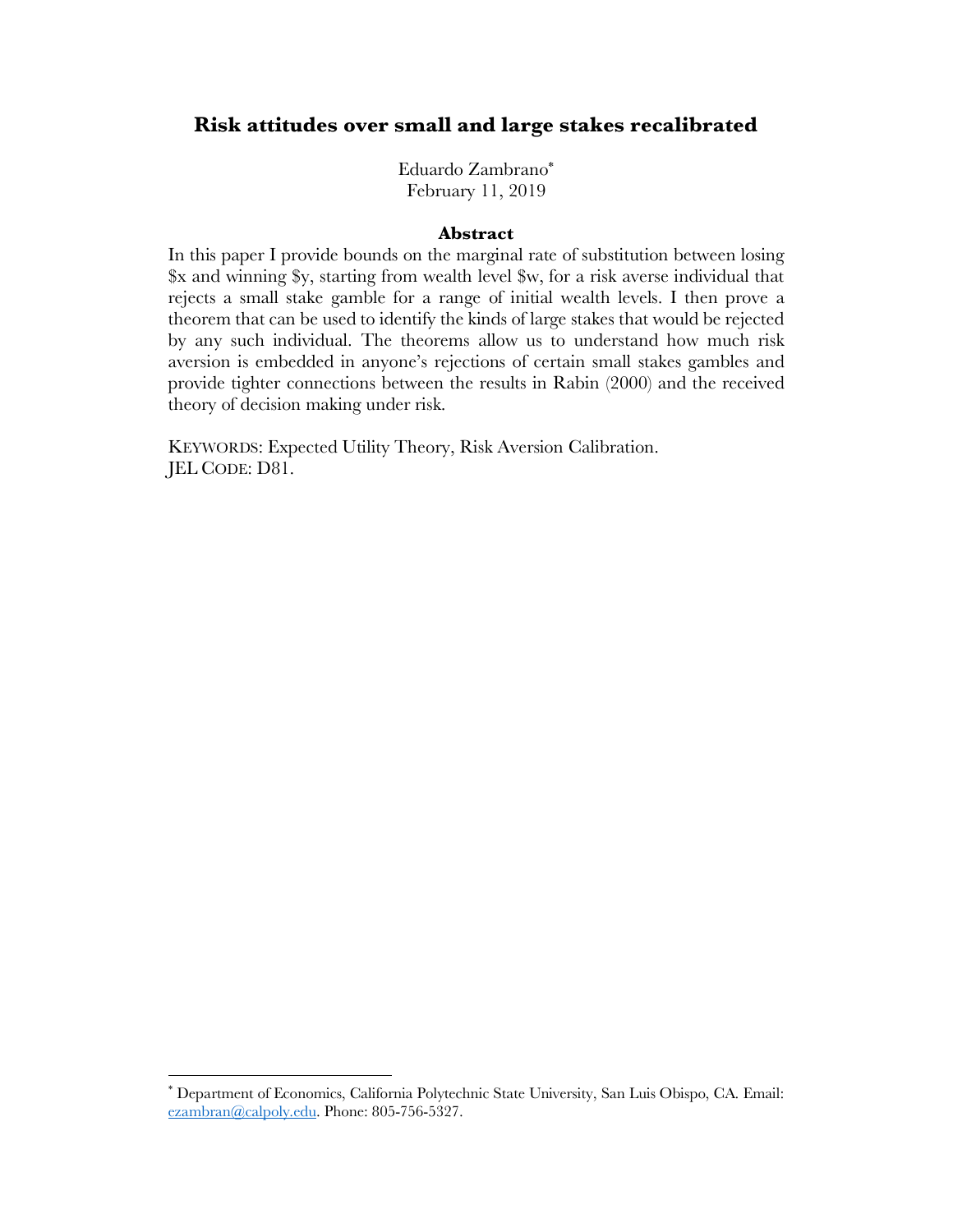# **Risk attitudes over small and large stakes recalibrated**

Eduardo Zambrano\* February 11, 2019

#### **Abstract**

In this paper I provide bounds on the marginal rate of substitution between losing \$x and winning \$y, starting from wealth level \$w, for a risk averse individual that rejects a small stake gamble for a range of initial wealth levels. I then prove a theorem that can be used to identify the kinds of large stakes that would be rejected by any such individual. The theorems allow us to understand how much risk aversion is embedded in anyone's rejections of certain small stakes gambles and provide tighter connections between the results in Rabin (2000) and the received theory of decision making under risk.

KEYWORDS: Expected Utility Theory, Risk Aversion Calibration. JEL CODE: D81.

 <sup>\*</sup> Department of Economics, California Polytechnic State University, San Luis Obispo, CA. Email: ezambran@calpoly.edu. Phone: 805-756-5327.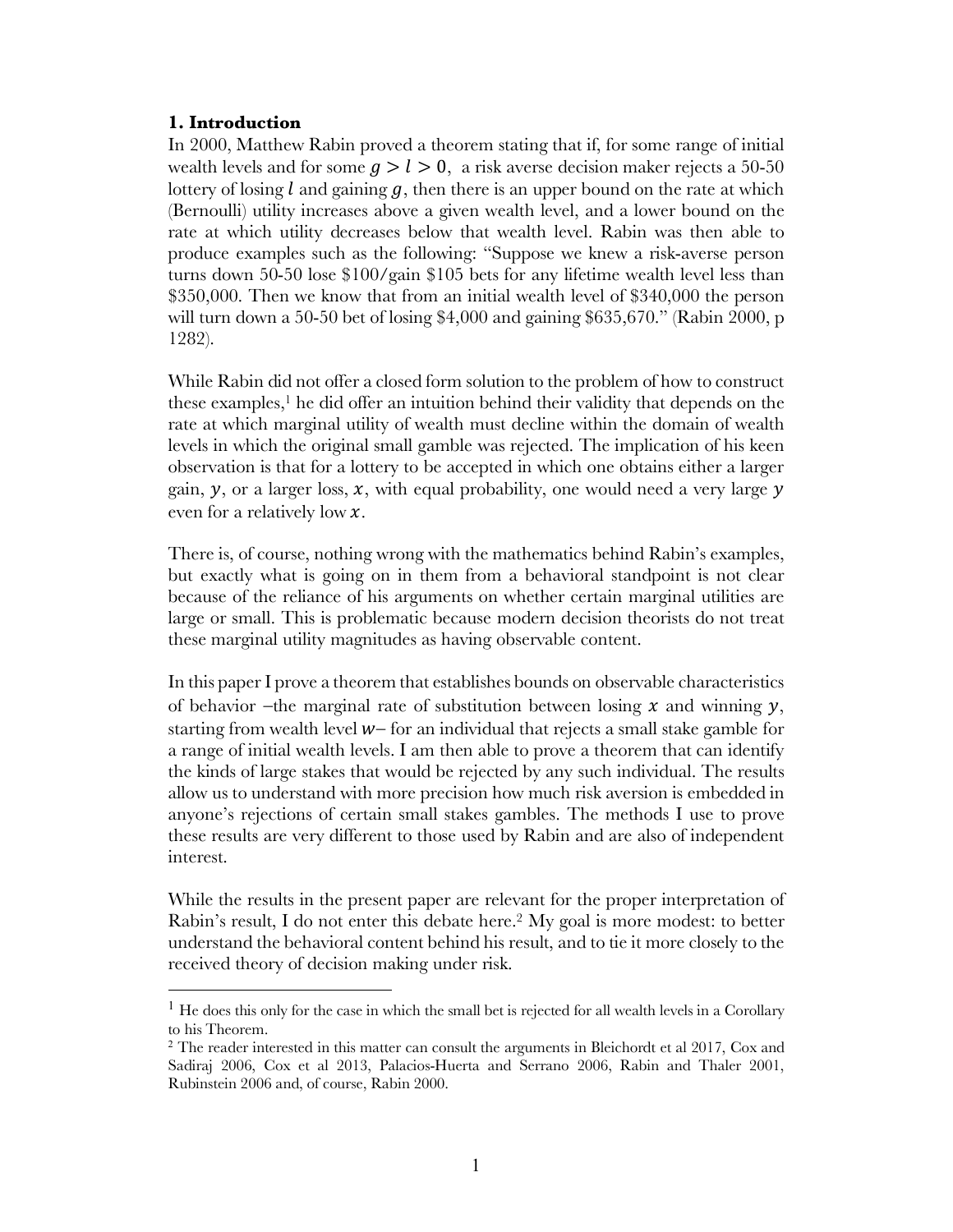### **1. Introduction**

In 2000, Matthew Rabin proved a theorem stating that if, for some range of initial wealth levels and for some  $q > l > 0$ , a risk averse decision maker rejects a 50-50 lottery of losing l and gaining  $q$ , then there is an upper bound on the rate at which (Bernoulli) utility increases above a given wealth level, and a lower bound on the rate at which utility decreases below that wealth level. Rabin was then able to produce examples such as the following: "Suppose we knew a risk-averse person turns down 50-50 lose \$100/gain \$105 bets for any lifetime wealth level less than \$350,000. Then we know that from an initial wealth level of \$340,000 the person will turn down a 50-50 bet of losing \$4,000 and gaining \$635,670." (Rabin 2000, p 1282).

While Rabin did not offer a closed form solution to the problem of how to construct these examples, <sup>1</sup> he did offer an intuition behind their validity that depends on the rate at which marginal utility of wealth must decline within the domain of wealth levels in which the original small gamble was rejected. The implication of his keen observation is that for a lottery to be accepted in which one obtains either a larger gain,  $\nu$ , or a larger loss, x, with equal probability, one would need a very large  $\nu$ even for a relatively low  $x$ .

There is, of course, nothing wrong with the mathematics behind Rabin's examples, but exactly what is going on in them from a behavioral standpoint is not clear because of the reliance of his arguments on whether certain marginal utilities are large or small. This is problematic because modern decision theorists do not treat these marginal utility magnitudes as having observable content.

In this paper I prove a theorem that establishes bounds on observable characteristics of behavior -the marginal rate of substitution between losing  $x$  and winning  $y$ , starting from wealth level  $w$ - for an individual that rejects a small stake gamble for a range of initial wealth levels. I am then able to prove a theorem that can identify the kinds of large stakes that would be rejected by any such individual. The results allow us to understand with more precision how much risk aversion is embedded in anyone's rejections of certain small stakes gambles. The methods I use to prove these results are very different to those used by Rabin and are also of independent interest.

While the results in the present paper are relevant for the proper interpretation of Rabin's result, I do not enter this debate here.2 My goal is more modest: to better understand the behavioral content behind his result, and to tie it more closely to the received theory of decision making under risk.

<sup>&</sup>lt;sup>1</sup> He does this only for the case in which the small bet is rejected for all wealth levels in a Corollary to his Theorem.

<sup>&</sup>lt;sup>2</sup> The reader interested in this matter can consult the arguments in Bleichordt et al 2017, Cox and Sadiraj 2006, Cox et al 2013, Palacios-Huerta and Serrano 2006, Rabin and Thaler 2001, Rubinstein 2006 and, of course, Rabin 2000.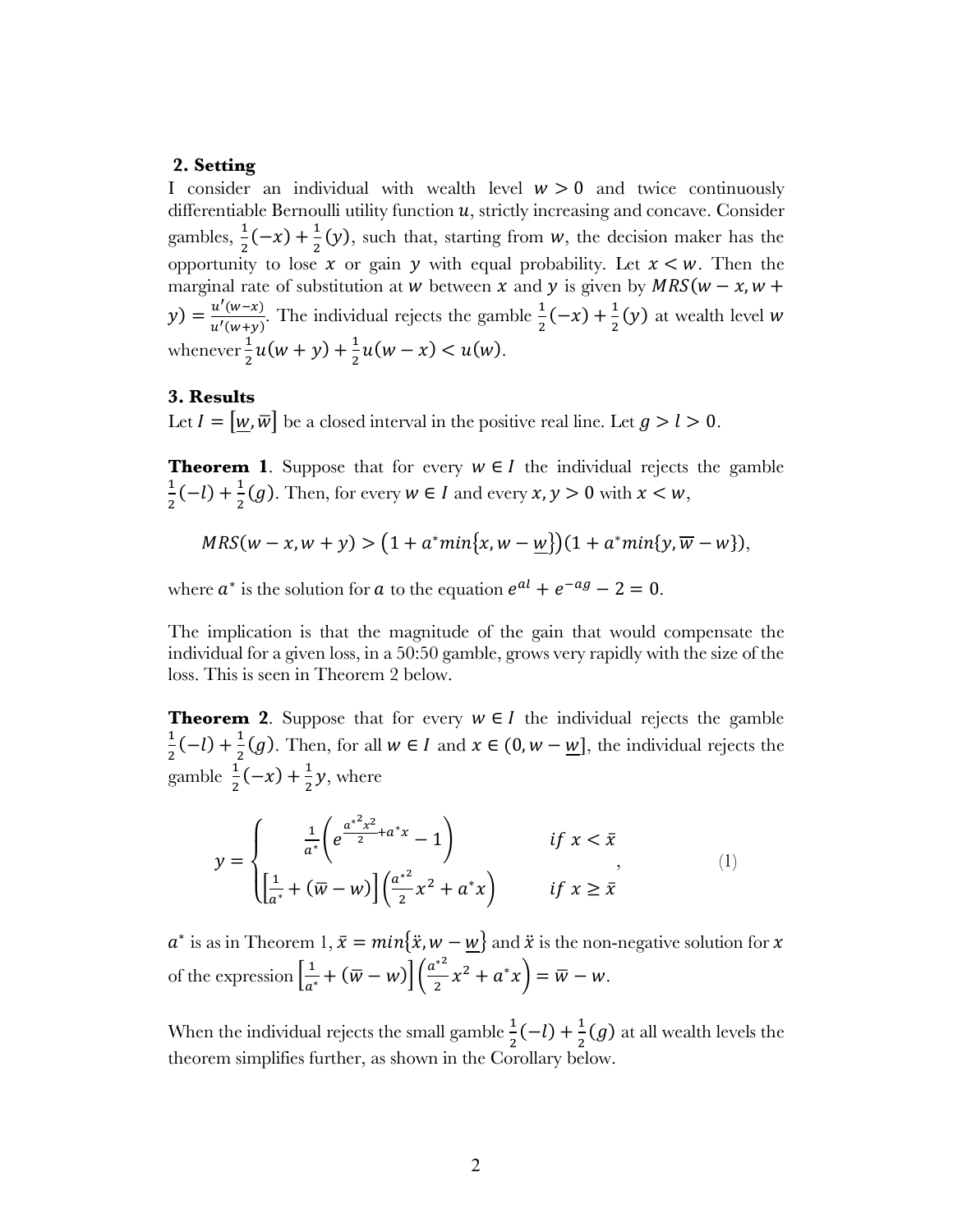# **2. Setting**

I consider an individual with wealth level  $w > 0$  and twice continuously differentiable Bernoulli utility function  $u$ , strictly increasing and concave. Consider gambles,  $\frac{1}{2}(-x) + \frac{1}{2}(y)$ , such that, starting from w, the decision maker has the opportunity to lose  $x$  or gain  $y$  with equal probability. Let  $x \leq w$ . Then the marginal rate of substitution at *w* between *x* and *y* is given by  $MRS(w - x, w +$  $(y) = \frac{u'(w-x)}{u'(w+y)}$ . The individual rejects the gamble  $\frac{1}{2}(-x) + \frac{1}{2}(y)$  at wealth level w whenever  $\frac{1}{2}u(w + y) + \frac{1}{2}u(w - x) < u(w)$ .

### **3. Results**

Let  $I = [w, \overline{w}]$  be a closed interval in the positive real line. Let  $g > l > 0$ .

**Theorem 1.** Suppose that for every  $w \in I$  the individual rejects the gamble  $\frac{1}{2}(-l) + \frac{1}{2}(g)$ . Then, for every  $w \in I$  and every  $x, y > 0$  with  $x < w$ ,

$$
MRS(w - x, w + y) > (1 + a^*min{x, w - w})(1 + a^*min{y, \overline{w} - w}),
$$

where  $a^*$  is the solution for  $a$  to the equation  $e^{al} + e^{-ag} - 2 = 0$ .

The implication is that the magnitude of the gain that would compensate the individual for a given loss, in a 50:50 gamble, grows very rapidly with the size of the loss. This is seen in Theorem 2 below.

**Theorem 2**. Suppose that for every  $w \in I$  the individual rejects the gamble  $\frac{1}{2}(-l) + \frac{1}{2}(g)$ . Then, for all  $w \in I$  and  $x \in (0, w - \underline{w}]$ , the individual rejects the gamble  $\frac{1}{2}(-x) + \frac{1}{2}y$ , where

$$
y = \begin{cases} \frac{1}{a^*} \left( e^{\frac{a^{*2}x^2}{2} + a^*x} - 1 \right) & \text{if } x < \bar{x} \\ \left[ \frac{1}{a^*} + (\bar{w} - w) \right] \left( \frac{a^{*2}}{2} x^2 + a^* x \right) & \text{if } x \ge \bar{x} \end{cases}
$$
(1)

 $a^*$  is as in Theorem 1,  $\bar{x} = min{\{\ddot{x}, w - \underline{w}\}}$  and  $\ddot{x}$  is the non-negative solution for  $x$ of the expression  $\left[\frac{1}{a^*} + (\overline{w} - w)\right] \left(\frac{a^{*2}}{2}\right)$  $\frac{\sqrt{2}}{2}x^2 + a^*x = \overline{w} - w.$ 

When the individual rejects the small gamble  $\frac{1}{2}(-l) + \frac{1}{2}(g)$  at all wealth levels the theorem simplifies further, as shown in the Corollary below.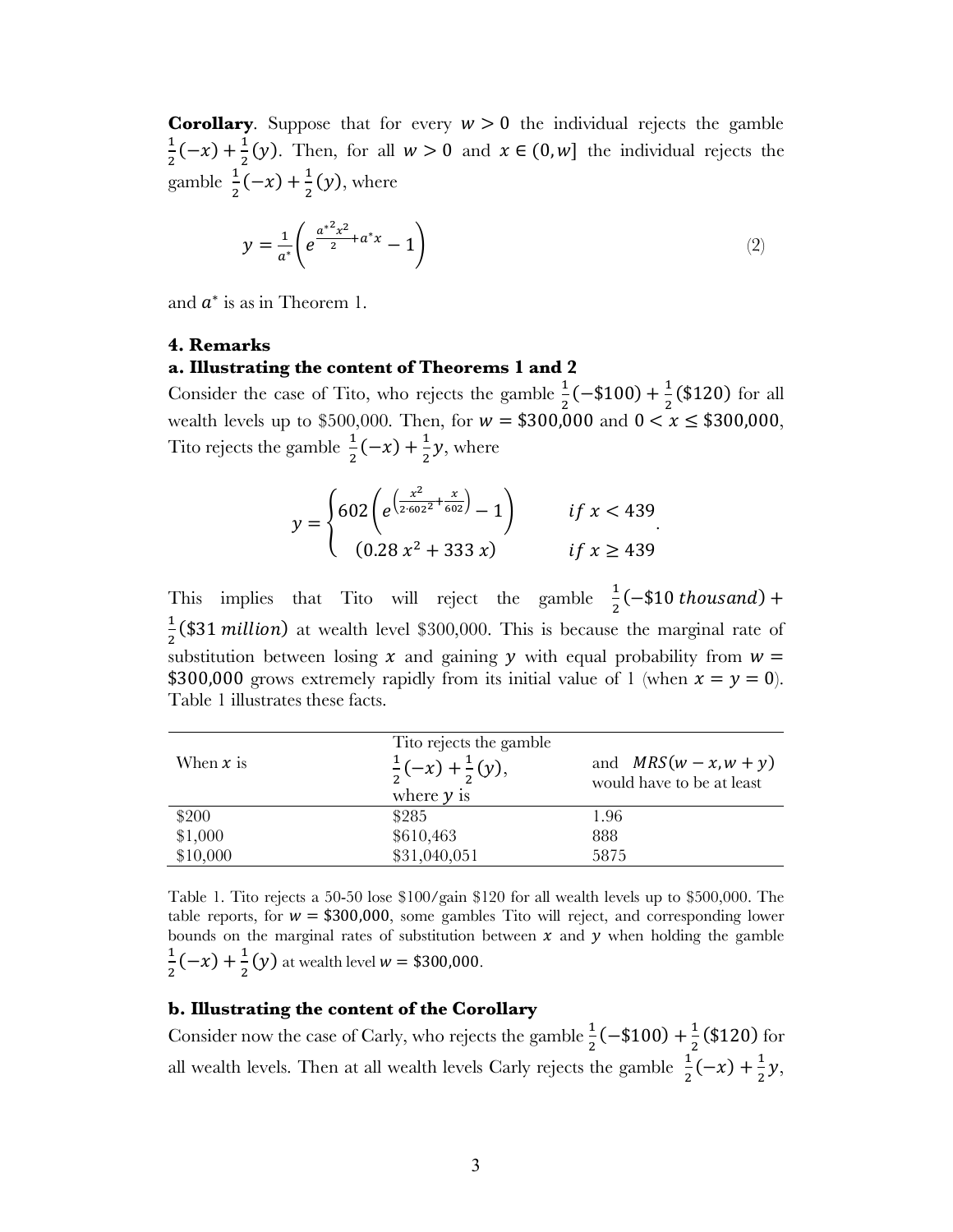**Corollary.** Suppose that for every  $w > 0$  the individual rejects the gamble  $\frac{1}{2}(-x) + \frac{1}{2}(y)$ . Then, for all  $w > 0$  and  $x \in (0, w]$  the individual rejects the gamble  $\frac{1}{2}(-x) + \frac{1}{2}(y)$ , where

$$
y = \frac{1}{a^*} \left( e^{\frac{a^{*2}x^2}{2} + a^*x} - 1 \right)
$$
 (2)

and  $a^*$  is as in Theorem 1.

# **4. Remarks**

# **a. Illustrating the content of Theorems 1 and 2**

Consider the case of Tito, who rejects the gamble  $\frac{1}{2}(-\$100) + \frac{1}{2}(\$120)$  for all wealth levels up to \$500,000. Then, for  $w = $300,000$  and  $0 < x \le $300,000$ , Tito rejects the gamble  $\frac{1}{2}(-x) + \frac{1}{2}y$ , where

$$
y = \begin{cases} 602 \left( e^{\left(\frac{x^2}{2 \cdot 602^2} + \frac{x}{602}\right)} - 1 \right) & \text{if } x < 439 \\ (0.28 x^2 + 333 x) & \text{if } x \ge 439 \end{cases}
$$

This implies that Tito will reject the gamble  $\frac{1}{2}(-\$10$  thousand) +  $\frac{1}{2}$ (\$31 *million*) at wealth level \$300,000. This is because the marginal rate of substitution between losing  $x$  and gaining  $y$  with equal probability from  $w =$ \$300,000 grows extremely rapidly from its initial value of 1 (when  $x = y = 0$ ). Table 1 illustrates these facts.

| When $x$ is | Tito rejects the gamble<br>$\frac{1}{2}(-x) + \frac{1}{2}(y)$ ,<br>where $y$ is | and $MRS(w - x, w + y)$<br>would have to be at least |
|-------------|---------------------------------------------------------------------------------|------------------------------------------------------|
| \$200       | \$285                                                                           | 1.96                                                 |
| \$1,000     | \$610,463                                                                       | 888                                                  |
| \$10,000    | \$31,040,051                                                                    | 5875                                                 |

Table 1. Tito rejects a 50-50 lose \$100/gain \$120 for all wealth levels up to \$500,000. The table reports, for  $w = $300,000$ , some gambles Tito will reject, and corresponding lower bounds on the marginal rates of substitution between  $x$  and  $y$  when holding the gamble  $\frac{1}{2}(-x) + \frac{1}{2}(y)$  at wealth level  $w = $300,000$ .

# **b. Illustrating the content of the Corollary**

Consider now the case of Carly, who rejects the gamble  $\frac{1}{2}(-\$100) + \frac{1}{2}(\$120)$  for all wealth levels. Then at all wealth levels Carly rejects the gamble  $\frac{1}{2}(-x) + \frac{1}{2}y$ ,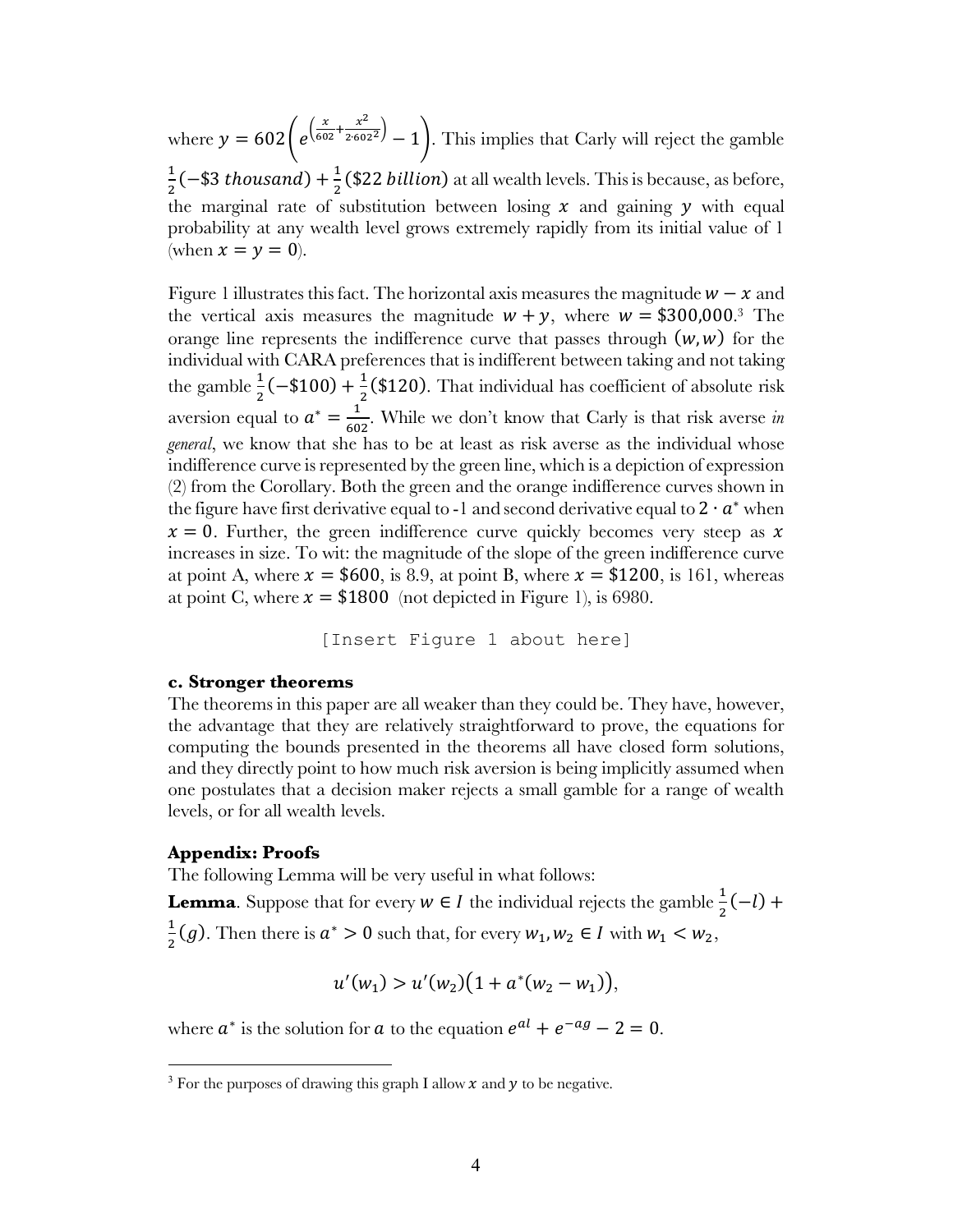where  $y = 602$  | e  $\left(\frac{x}{602}+\frac{x^2}{2.602^2}\right)$  – 1. This implies that Carly will reject the gamble  $\frac{1}{2}$ (−\$3 *thousand*) +  $\frac{1}{2}$ (\$22 *billion*) at all wealth levels. This is because, as before, the marginal rate of substitution between losing  $x$  and gaining  $y$  with equal probability at any wealth level grows extremely rapidly from its initial value of 1 (when  $x = y = 0$ ).

Figure 1 illustrates this fact. The horizontal axis measures the magnitude  $w - x$  and the vertical axis measures the magnitude  $w + y$ , where  $w = $300,000$ .<sup>3</sup> The orange line represents the indifference curve that passes through  $(w, w)$  for the individual with CARA preferences that is indifferent between taking and not taking the gamble  $\frac{1}{2}(-\$100) + \frac{1}{2}(\$120)$ . That individual has coefficient of absolute risk aversion equal to  $a^* = \frac{1}{602}$ . While we don't know that Carly is that risk averse *in general*, we know that she has to be at least as risk averse as the individual whose indifference curve is represented by the green line, which is a depiction of expression (2) from the Corollary. Both the green and the orange indifference curves shown in the figure have first derivative equal to -1 and second derivative equal to  $2 \cdot a^*$  when  $x = 0$ . Further, the green indifference curve quickly becomes very steep as x increases in size. To wit: the magnitude of the slope of the green indifference curve at point A, where  $x = $600$ , is 8.9, at point B, where  $x = $1200$ , is 161, whereas at point C, where  $x = $1800$  (not depicted in Figure 1), is 6980.

[Insert Figure 1 about here]

#### **c. Stronger theorems**

The theorems in this paper are all weaker than they could be. They have, however, the advantage that they are relatively straightforward to prove, the equations for computing the bounds presented in the theorems all have closed form solutions, and they directly point to how much risk aversion is being implicitly assumed when one postulates that a decision maker rejects a small gamble for a range of wealth levels, or for all wealth levels.

#### **Appendix: Proofs**

The following Lemma will be very useful in what follows:

**Lemma**. Suppose that for every  $w \in I$  the individual rejects the gamble  $\frac{1}{2}(-l)$  +  $\frac{1}{2}(g)$ . Then there is  $a^* > 0$  such that, for every  $w_1, w_2 \in I$  with  $w_1 < w_2$ ,

$$
u'(w_1) > u'(w_2)(1 + a^*(w_2 - w_1)),
$$

where  $a^*$  is the solution for  $a$  to the equation  $e^{al} + e^{-ag} - 2 = 0$ .

<sup>&</sup>lt;sup>3</sup> For the purposes of drawing this graph I allow  $x$  and  $y$  to be negative.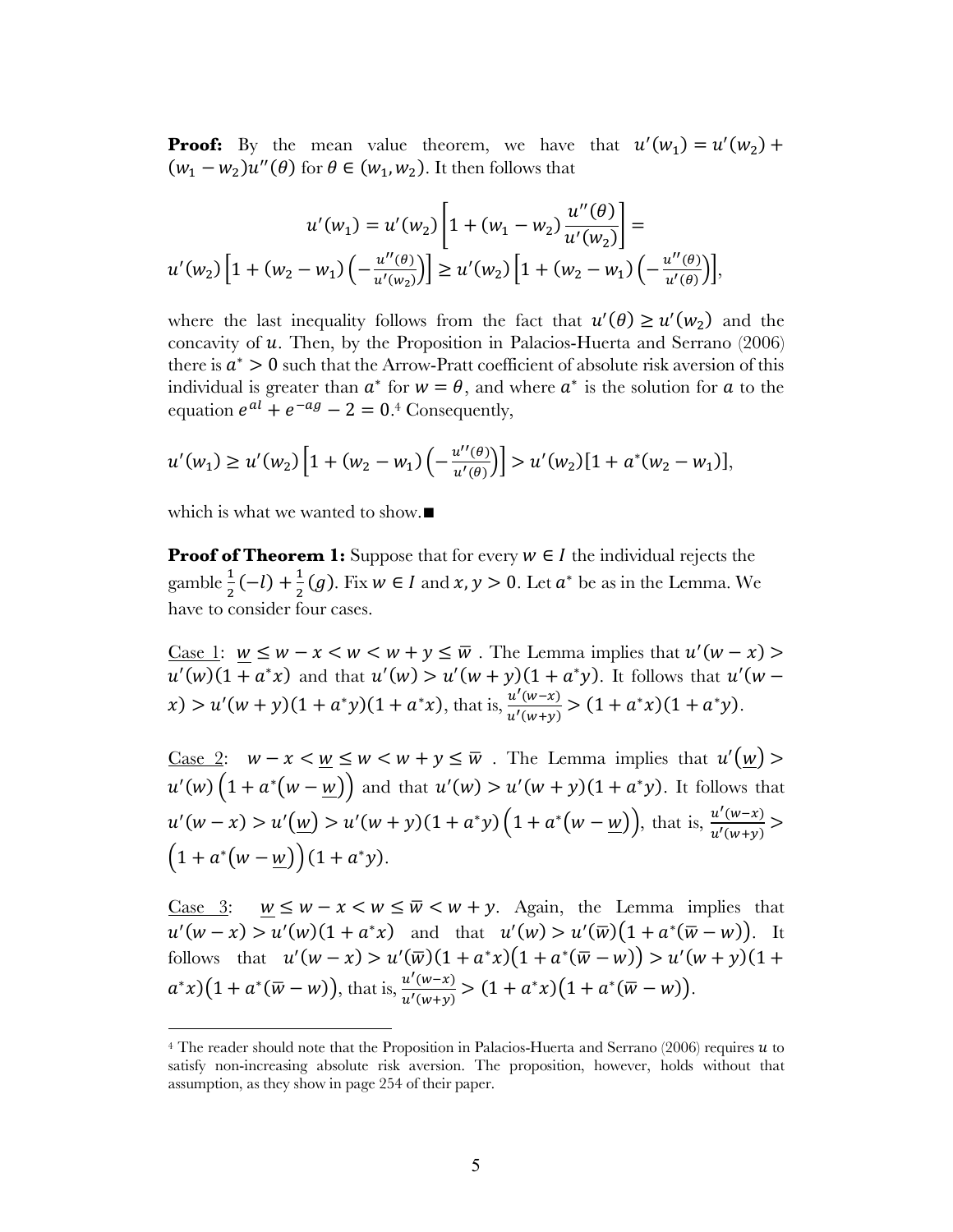**Proof:** By the mean value theorem, we have that  $u'(w_1) = u'(w_2) +$  $(w_1 - w_2)u''(\theta)$  for  $\theta \in (w_1, w_2)$ . It then follows that

$$
u'(w_1) = u'(w_2) \left[ 1 + (w_1 - w_2) \frac{u''(\theta)}{u'(w_2)} \right] =
$$
  

$$
u'(w_2) \left[ 1 + (w_2 - w_1) \left( -\frac{u''(\theta)}{u'(w_2)} \right) \right] \ge u'(w_2) \left[ 1 + (w_2 - w_1) \left( -\frac{u''(\theta)}{u'(\theta)} \right) \right],
$$

where the last inequality follows from the fact that  $u'(\theta) \ge u'(w_2)$  and the concavity of  $u$ . Then, by the Proposition in Palacios-Huerta and Serrano (2006) there is  $a^* > 0$  such that the Arrow-Pratt coefficient of absolute risk aversion of this individual is greater than  $a^*$  for  $w = \theta$ , and where  $a^*$  is the solution for a to the equation  $e^{al} + e^{-ag} - 2 = 0.4$  Consequently,

$$
u'(w_1) \ge u'(w_2) \left[ 1 + (w_2 - w_1) \left( -\frac{u''(\theta)}{u'(\theta)} \right) \right] > u'(w_2) [1 + a^*(w_2 - w_1)],
$$

which is what we wanted to show.∎

 $\overline{a}$ 

**Proof of Theorem 1:** Suppose that for every  $w \in I$  the individual rejects the gamble  $\frac{1}{2}(-l) + \frac{1}{2}(g)$ . Fix  $w \in I$  and  $x, y > 0$ . Let  $a^*$  be as in the Lemma. We have to consider four cases.

Case 1:  $w \leq w - x < w < w + y \leq \overline{w}$ . The Lemma implies that  $u'(w - x)$  $u'(w)(1 + a^*x)$  and that  $u'(w) > u'(w + y)(1 + a^*y)$ . It follows that  $u'(w - y)$  $f(x) > u'(w+y)(1+a^*y)(1+a^*x)$ , that is,  $\frac{u'(w-x)}{u'(w+y)} > (1+a^*x)(1+a^*y)$ .

<u>Case 2</u>:  $w - x < w \leq w < w + y \leq \overline{w}$ . The Lemma implies that  $u'(w)$  $u'(w)(1 + a^*(w - w))$  and that  $u'(w) > u'(w + y)(1 + a^*y)$ . It follows that  $u'(w-x) > u'\left(\underline{w}\right) > u'(w+y)\left(1 + a^*y\right)\left(1 + a^*\left(w - \underline{w}\right)\right)$ , that is,  $\frac{u'(w-x)}{u'(w+y)} >$  $(1 + a^*(w - w))(1 + a^*y).$ 

Case 3:  $w \leq w - x < w \leq \overline{w} < w + y$ . Again, the Lemma implies that  $u'(w-x) > u'(w)(1 + a^*x)$  and that  $u'(w) > u'(\overline{w})(1 + a^*(\overline{w} - w))$ . It follows that  $u'(w - x) > u'(\overline{w})(1 + a^*x)(1 + a^*(\overline{w} - w)) > u'(w + y)(1 +$  $a^*x(1 + a^*(\overline{w} - w))$ , that is,  $\frac{u'(w-x)}{u'(w+y)} > (1 + a^*x)(1 + a^*(\overline{w} - w)).$ 

<sup>&</sup>lt;sup>4</sup> The reader should note that the Proposition in Palacios-Huerta and Serrano (2006) requires  $u$  to satisfy non-increasing absolute risk aversion. The proposition, however, holds without that assumption, as they show in page 254 of their paper.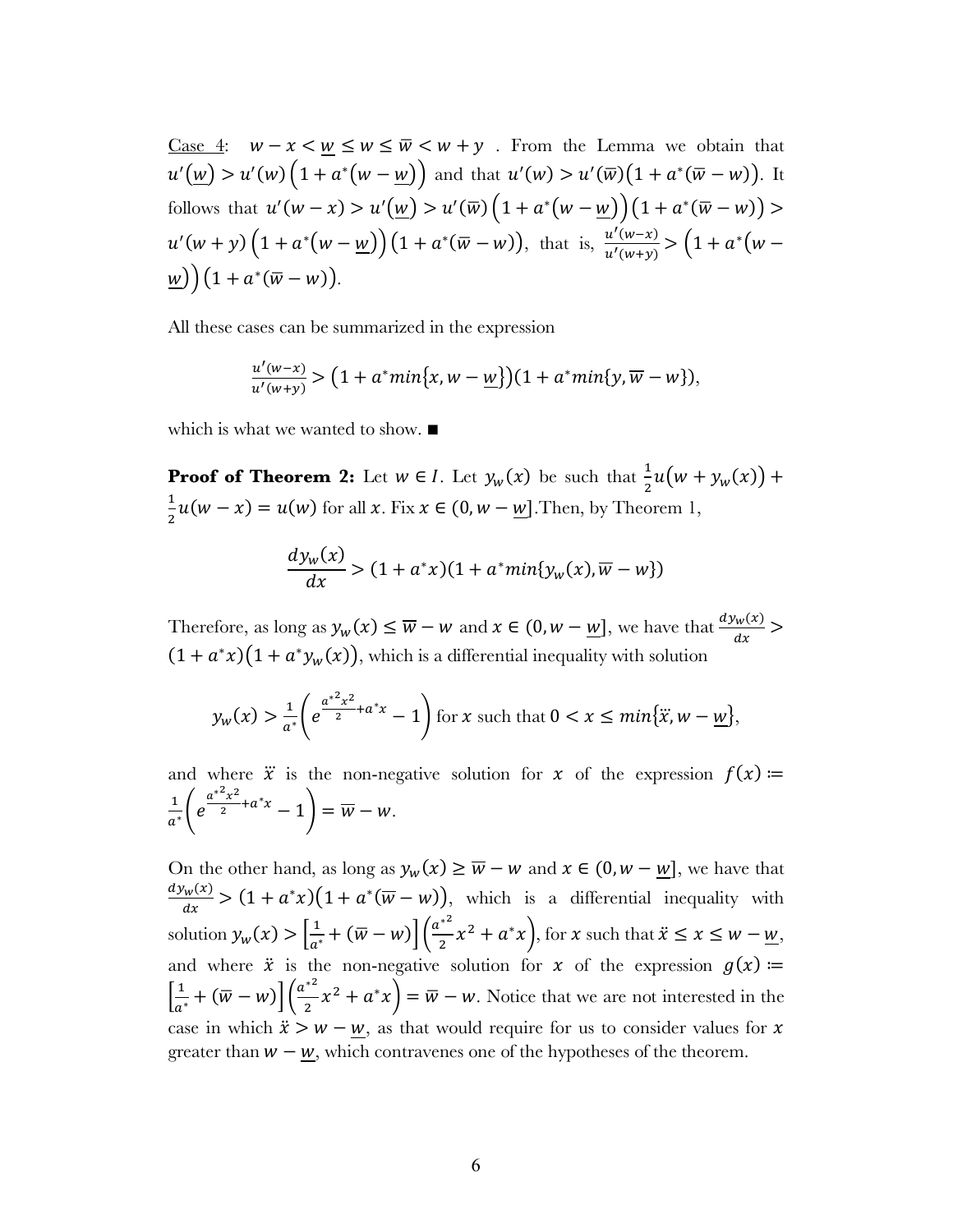<u>Case 4</u>:  $w - x < \underline{w} \le w \le \overline{w} < w + y$ . From the Lemma we obtain that  $u'(\underline{w}) > u'(\underline{w}) \left(1 + a^*(\underline{w} - \underline{w})\right)$  and that  $u'(\underline{w}) > u'(\overline{w}) \left(1 + a^*(\overline{w} - \underline{w})\right)$ . It follows that  $u'(w-x) > u'(w) > u'(\overline{w}) \left(1 + a^*(w - w)\right) \left(1 + a^*(\overline{w} - w)\right) >$  $u'(w+y)\left(1+a^*(w-\underline{w})\right)(1+a^*(\overline{w}-w)),$  that is,  $\frac{u'(w-x)}{u'(w+y)} > (1+a^*(w-\underline{w}))$  $\underline{w}) (1 + a^*(\overline{w} - w)).$ 

All these cases can be summarized in the expression

$$
\frac{u'(w-x)}{u'(w+y)} > (1 + a^*min\{x, w - \underline{w}\})(1 + a^*min\{y, \overline{w} - w\}),
$$

which is what we wanted to show. ∎

**Proof of Theorem 2:** Let  $w \in I$ . Let  $y_w(x)$  be such that  $\frac{1}{2}u(w + y_w(x))$  +  $\mathbf{1}$  $\frac{1}{2}u(w-x) = u(w)$  for all  $x$ . Fix  $x \in (0, w - \underline{w}]$ . Then, by Theorem 1,

$$
\frac{dy_w(x)}{dx} > (1 + a^*x)(1 + a^*min\{y_w(x), \overline{w} - w\})
$$

Therefore, as long as  $y_w(x) \le \overline{w} - w$  and  $x \in (0, w - \underline{w}]$ , we have that  $\frac{dy_w(x)}{dx}$  $(1 + a^*x)(1 + a^*y_w(x))$ , which is a differential inequality with solution

$$
y_w(x) > \frac{1}{a^*} \left( e^{\frac{a^{*2}x^2}{2} + a^*x} - 1 \right) \text{ for } x \text{ such that } 0 < x \le \min\{\ddot{x}, w - \underline{w}\},
$$

and where  $\ddot{x}$  is the non-negative solution for  $x$  of the expression  $f(x)$  ≔  $rac{1}{a^*}$  $e$  $\frac{a^{*2}x^2}{2} + a^*x - 1$  =  $\overline{w} - w$ .

On the other hand, as long as  $y_w(x) \geq \overline{w} - w$  and  $x \in (0, w - w]$ , we have that  $dy_w(x)$  $\frac{\partial w(x)}{\partial x}$  >  $(1 + a^*x)(1 + a^*(\overline{w} - w))$ , which is a differential inequality with solution  $y_w(x) > \left[\frac{1}{a^*} + (\overline{w} - w)\right] \left(\frac{a^{*2}}{2}\right)$  $\frac{x^2}{2}x^2 + a^*x$ , for x such that  $\ddot{x} \le x \le w - \underline{w}$ , and where  $\ddot{x}$  is the non-negative solution for  $x$  of the expression  $g(x)$  ≔  $\left[\frac{1}{a^*} + (\overline{w} - w)\right] \left(\frac{a^{*2}}{2}\right)$  $\left(\frac{x}{2}x^2 + a^*x\right) = \overline{w} - w$ . Notice that we are not interested in the case in which  $\ddot{x} > w - \underline{w}$ , as that would require for us to consider values for x greater than  $w - w$ , which contravenes one of the hypotheses of the theorem.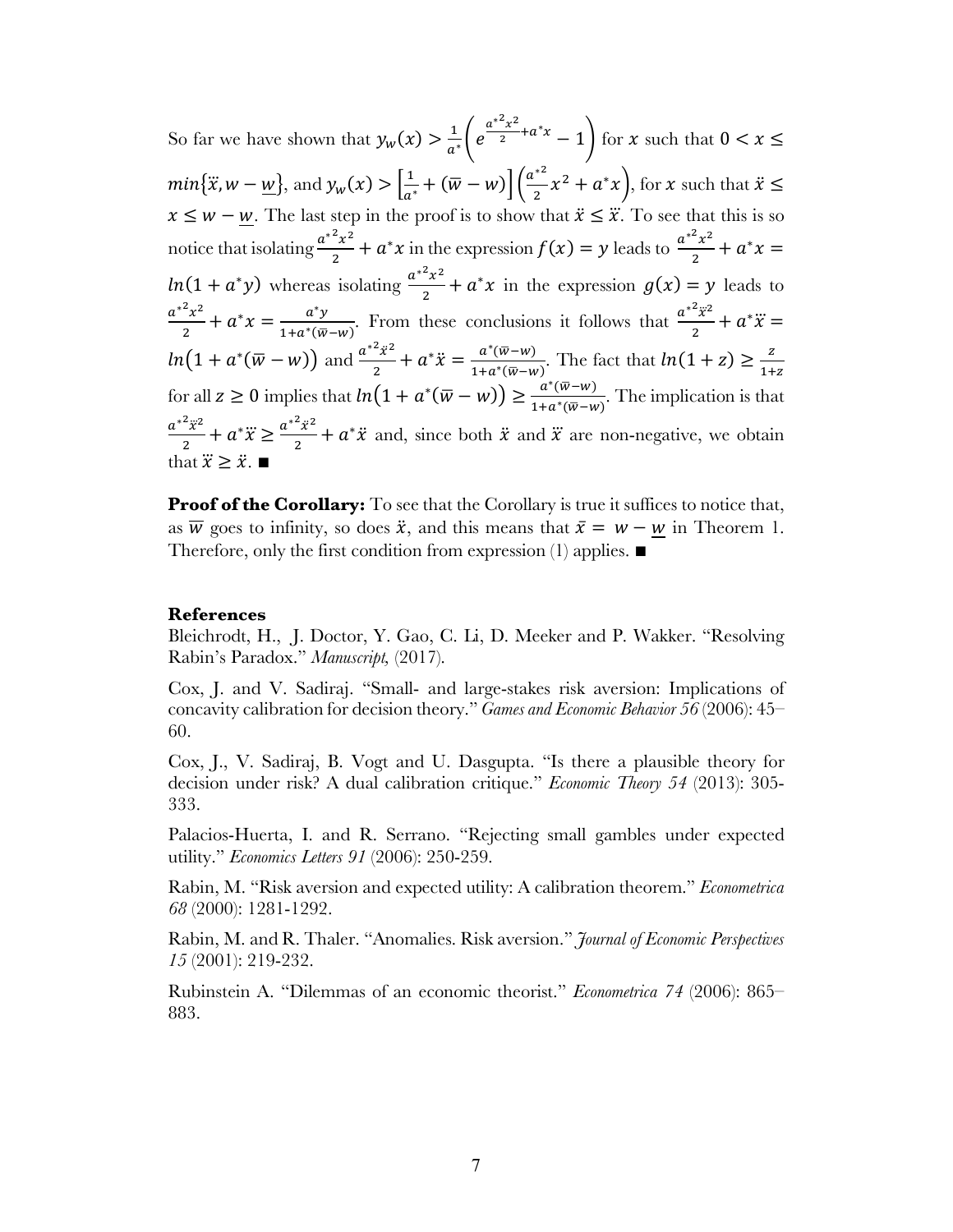So far we have shown that  $y_w(x) > \frac{1}{a^*} \left( e^{-x} \right)$  $\frac{a^{*2}x^2}{2} + a^*x - 1$  for x such that  $0 < x \le$  $min{\{\ddot{x}, w - \underline{w}\}}$ , and  $y_w(x) > \left[\frac{1}{a^*} + (\overline{w} - w)\right] \left(\frac{a^{*2}}{2}\right)$  $\frac{x^2}{2}x^2 + a^*x$ , for x such that  $\ddot{x} \le$  $x \leq w - \underline{w}$ . The last step in the proof is to show that  $\ddot{x} \leq \dddot{x}$ . To see that this is so notice that isolating  $\frac{a^{*2}x^2}{2}$  $\frac{x^2 x^2}{2} + a^* x$  in the expression  $f(x) = y$  leads to  $\frac{a^{*2} x^2}{2}$  $\frac{x^2}{2} + a^*x =$  $ln(1 + a^*y)$  whereas isolating  $\frac{a^{*2}x^2}{2} + a^*x$  in the expression  $g(x) = y$  leads to  $a^{*2}x^2$  $\frac{a^2x^2}{2} + a^*x = \frac{a^*y}{1 + a^*(\overline{w} - w)}$ . From these conclusions it follows that  $\frac{a^{*2}\overline{x}^2}{2}$  $\frac{x^2}{2} + a^* \ddot{x} =$  $ln(1 + a^*(\overline{w} - w))$  and  $\frac{a^{*2}\ddot{x}^2}{2}$  $ln(1 + a^*(\overline{w} - w))$  and  $\frac{a^{*2}\overline{x}^2}{2} + a^*\overline{x} = \frac{a^*(\overline{w} - w)}{1 + a^*(\overline{w} - w)}$ . The fact that  $ln(1 + z) \ge \frac{z}{1 + z}$  for all  $z \ge 0$  implies that  $ln(1 + a^*(\overline{w} - w)) \ge \frac{a^*(\overline{w} - w)}{1 + a^*(\overline{w} - w)}$ . The implication is that  $a^{*2} \ddot{x}^2$  $\frac{a^2 \ddot{x}^2}{2} + a^* \ddot{x} \ge \frac{a^{*2} \ddot{x}^2}{2}$  $\frac{x^2}{2} + a^* \ddot{x}$  and, since both  $\ddot{x}$  and  $\dddot{x}$  are non-negative, we obtain that  $\ddot{x} \geq \ddot{x}$ .  $\blacksquare$ 

**Proof of the Corollary:** To see that the Corollary is true it suffices to notice that, as  $\overline{w}$  goes to infinity, so does  $\ddot{x}$ , and this means that  $\bar{x} = w - w$  in Theorem 1. Therefore, only the first condition from expression (1) applies. ■

### **References**

Bleichrodt, H., J. Doctor, Y. Gao, C. Li, D. Meeker and P. Wakker. "Resolving Rabin's Paradox." *Manuscript,* (2017).

Cox, J. and V. Sadiraj. "Small- and large-stakes risk aversion: Implications of concavity calibration for decision theory." *Games and Economic Behavior 56* (2006): 45– 60.

Cox, J., V. Sadiraj, B. Vogt and U. Dasgupta. "Is there a plausible theory for decision under risk? A dual calibration critique." *Economic Theory 54* (2013): 305- 333.

Palacios-Huerta, I. and R. Serrano. "Rejecting small gambles under expected utility." *Economics Letters 91* (2006): 250-259.

Rabin, M. "Risk aversion and expected utility: A calibration theorem." *Econometrica 68* (2000): 1281-1292.

Rabin, M. and R. Thaler. "Anomalies. Risk aversion." *Journal of Economic Perspectives 15* (2001): 219-232.

Rubinstein A. "Dilemmas of an economic theorist." *Econometrica 74* (2006): 865– 883.